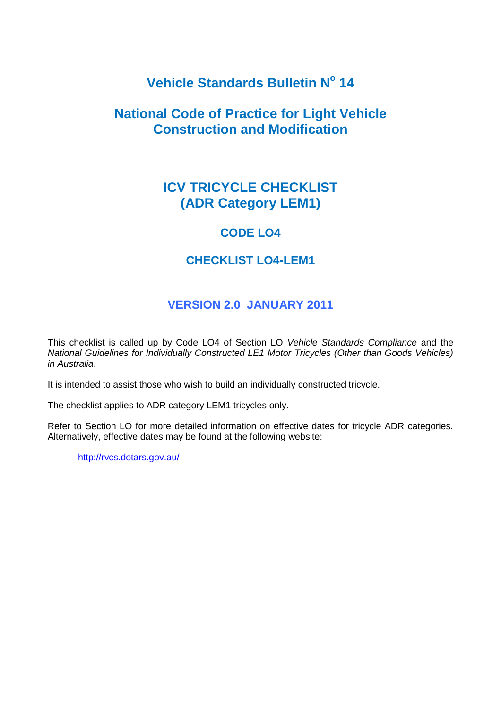# **Vehicle Standards Bulletin N<sup>o</sup> 14**

## **National Code of Practice for Light Vehicle Construction and Modification**

# **ICV TRICYCLE CHECKLIST (ADR Category LEM1)**

### **CODE LO4**

### **CHECKLIST LO4-LEM1**

### **VERSION 2.0 JANUARY 2011**

This checklist is called up by Code LO4 of Section LO *Vehicle Standards Compliance* and the *National Guidelines for Individually Constructed LE1 Motor Tricycles (Other than Goods Vehicles) in Australia*.

It is intended to assist those who wish to build an individually constructed tricycle.

The checklist applies to ADR category LEM1 tricycles only.

Refer to Section LO for more detailed information on effective dates for tricycle ADR categories. Alternatively, effective dates may be found at the following website:

<http://rvcs.dotars.gov.au/>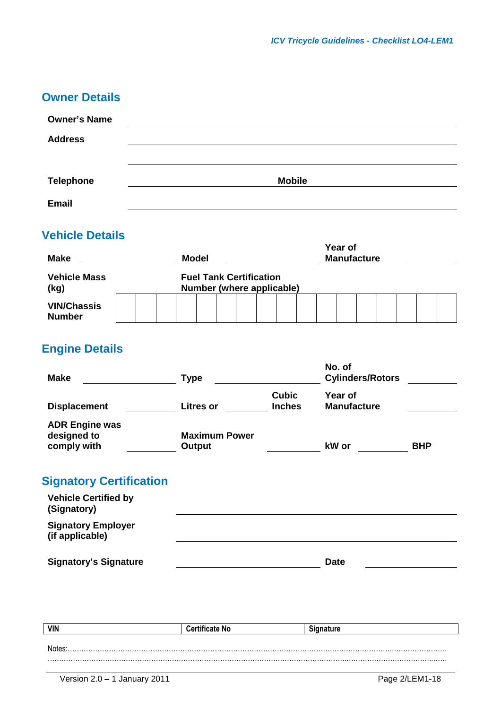| <b>Owner Details</b> |                                                                                                                                      |                              |                                |                             |                            |                      |                                |                                                                             |                                |                    |                                          |                         |            |
|----------------------|--------------------------------------------------------------------------------------------------------------------------------------|------------------------------|--------------------------------|-----------------------------|----------------------------|----------------------|--------------------------------|-----------------------------------------------------------------------------|--------------------------------|--------------------|------------------------------------------|-------------------------|------------|
|                      |                                                                                                                                      |                              |                                |                             |                            |                      |                                |                                                                             |                                |                    |                                          |                         |            |
|                      |                                                                                                                                      |                              |                                |                             |                            |                      |                                |                                                                             |                                |                    |                                          |                         |            |
|                      |                                                                                                                                      |                              |                                |                             |                            |                      |                                |                                                                             |                                |                    |                                          |                         |            |
|                      |                                                                                                                                      |                              |                                |                             |                            |                      |                                |                                                                             |                                |                    |                                          |                         |            |
|                      |                                                                                                                                      |                              |                                |                             |                            |                      |                                |                                                                             |                                |                    |                                          |                         |            |
|                      |                                                                                                                                      |                              |                                |                             |                            |                      |                                |                                                                             |                                |                    |                                          |                         |            |
|                      |                                                                                                                                      |                              |                                |                             |                            |                      |                                |                                                                             |                                |                    |                                          |                         |            |
|                      |                                                                                                                                      |                              |                                |                             |                            |                      |                                |                                                                             |                                |                    |                                          |                         |            |
|                      |                                                                                                                                      |                              |                                |                             |                            |                      |                                |                                                                             |                                |                    |                                          |                         |            |
|                      |                                                                                                                                      |                              |                                |                             |                            |                      |                                |                                                                             |                                |                    |                                          |                         |            |
|                      |                                                                                                                                      |                              |                                |                             |                            |                      |                                |                                                                             |                                |                    |                                          |                         |            |
|                      |                                                                                                                                      |                              |                                |                             |                            |                      |                                |                                                                             |                                |                    |                                          |                         |            |
|                      |                                                                                                                                      |                              |                                |                             |                            |                      |                                |                                                                             |                                |                    |                                          |                         |            |
|                      |                                                                                                                                      |                              |                                |                             |                            |                      |                                |                                                                             |                                |                    |                                          |                         |            |
|                      | <b>Vehicle Details</b><br><b>Engine Details</b><br><b>ADR Engine was</b><br><b>Vehicle Certified by</b><br><b>Signatory Employer</b> | <b>Signatory's Signature</b> | <b>Signatory Certification</b> | <b>Model</b><br><b>Type</b> | <b>Litres or</b><br>Output | <b>Maximum Power</b> | <b>Fuel Tank Certification</b> | <b>Mobile</b><br>Number (where applicable)<br><b>Cubic</b><br><b>Inches</b> | No. of<br>kW or<br><b>Date</b> | Year of<br>Year of | <b>Manufacture</b><br><b>Manufacture</b> | <b>Cylinders/Rotors</b> | <b>BHP</b> |

| <b>VIN</b> | <b>Certificate No</b> | <b>Signature</b> |
|------------|-----------------------|------------------|
|            |                       |                  |
| Notes      |                       |                  |
|            |                       |                  |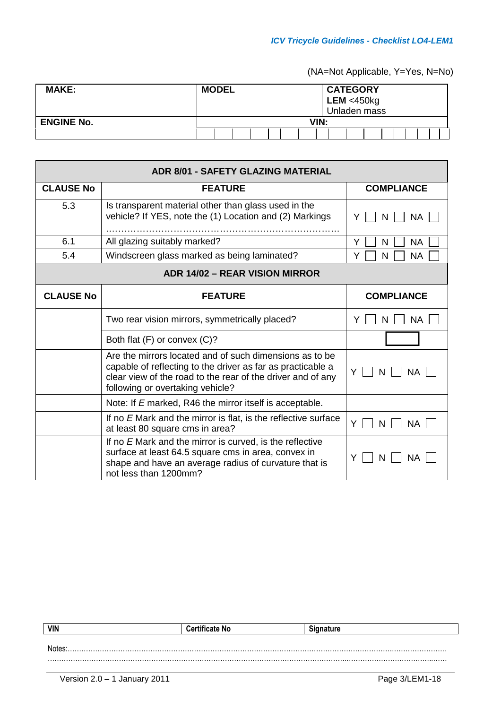(NA=Not Applicable, Y=Yes, N=No)

| <b>MAKE:</b>      | <b>MODEL</b> |  |  |  | <b>CATEGORY</b><br>LEM < 450kg<br>Unladen mass |  |  |  |  |  |  |  |
|-------------------|--------------|--|--|--|------------------------------------------------|--|--|--|--|--|--|--|
| <b>ENGINE No.</b> | VIN:         |  |  |  |                                                |  |  |  |  |  |  |  |
|                   |              |  |  |  |                                                |  |  |  |  |  |  |  |

| <b>ADR 8/01 - SAFETY GLAZING MATERIAL</b> |                                                                                                                                                                                                                           |                     |  |  |  |  |  |  |
|-------------------------------------------|---------------------------------------------------------------------------------------------------------------------------------------------------------------------------------------------------------------------------|---------------------|--|--|--|--|--|--|
| <b>CLAUSE No</b>                          | <b>FEATURE</b>                                                                                                                                                                                                            | <b>COMPLIANCE</b>   |  |  |  |  |  |  |
| 5.3                                       | Is transparent material other than glass used in the<br>vehicle? If YES, note the (1) Location and (2) Markings                                                                                                           | NA<br>N             |  |  |  |  |  |  |
| 6.1                                       | All glazing suitably marked?                                                                                                                                                                                              | Y<br>N<br><b>NA</b> |  |  |  |  |  |  |
| 5.4                                       | Windscreen glass marked as being laminated?                                                                                                                                                                               | Y<br>N<br>NA.       |  |  |  |  |  |  |
|                                           | <b>ADR 14/02 - REAR VISION MIRROR</b>                                                                                                                                                                                     |                     |  |  |  |  |  |  |
| <b>CLAUSE No</b>                          | <b>FEATURE</b>                                                                                                                                                                                                            | <b>COMPLIANCE</b>   |  |  |  |  |  |  |
|                                           | Two rear vision mirrors, symmetrically placed?                                                                                                                                                                            | <b>NA</b><br>N      |  |  |  |  |  |  |
|                                           | Both flat (F) or convex (C)?                                                                                                                                                                                              |                     |  |  |  |  |  |  |
|                                           | Are the mirrors located and of such dimensions as to be<br>capable of reflecting to the driver as far as practicable a<br>clear view of the road to the rear of the driver and of any<br>following or overtaking vehicle? | Y<br>N.<br>NA.      |  |  |  |  |  |  |
|                                           | Note: If E marked, R46 the mirror itself is acceptable.                                                                                                                                                                   |                     |  |  |  |  |  |  |
|                                           | If no E Mark and the mirror is flat, is the reflective surface<br>at least 80 square cms in area?                                                                                                                         | Y<br>N<br>NA        |  |  |  |  |  |  |
|                                           | If no E Mark and the mirror is curved, is the reflective<br>surface at least 64.5 square cms in area, convex in<br>shape and have an average radius of curvature that is<br>not less than 1200mm?                         | N.<br><b>NA</b>     |  |  |  |  |  |  |

| <b>VIN</b> | <b>Certificate No</b> | Signature |
|------------|-----------------------|-----------|
|            |                       |           |
| Notes      |                       |           |
|            |                       |           |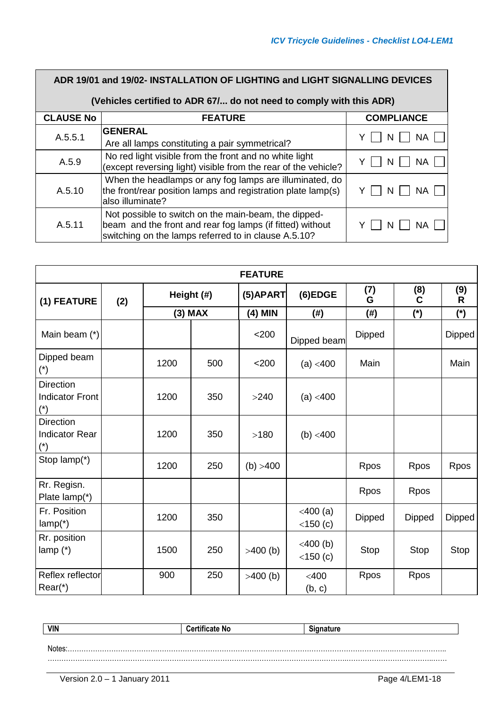| ADR 19/01 and 19/02- INSTALLATION OF LIGHTING and LIGHT SIGNALLING DEVICES |                                                                                                                                                                           |                   |  |  |  |  |  |  |
|----------------------------------------------------------------------------|---------------------------------------------------------------------------------------------------------------------------------------------------------------------------|-------------------|--|--|--|--|--|--|
| (Vehicles certified to ADR 67/ do not need to comply with this ADR)        |                                                                                                                                                                           |                   |  |  |  |  |  |  |
| <b>CLAUSE No</b>                                                           | <b>FEATURE</b>                                                                                                                                                            | <b>COMPLIANCE</b> |  |  |  |  |  |  |
| A.5.5.1                                                                    | <b>GENERAL</b><br>Are all lamps constituting a pair symmetrical?                                                                                                          | NΑ<br>N           |  |  |  |  |  |  |
| A.5.9                                                                      | No red light visible from the front and no white light<br>(except reversing light) visible from the rear of the vehicle?                                                  | NA                |  |  |  |  |  |  |
| A.5.10                                                                     | When the headlamps or any fog lamps are illuminated, do<br>the front/rear position lamps and registration plate lamp(s)<br>also illuminate?                               | ΝA<br>N           |  |  |  |  |  |  |
| A.5.11                                                                     | Not possible to switch on the main-beam, the dipped-<br>beam and the front and rear fog lamps (if fitted) without<br>switching on the lamps referred to in clause A.5.10? | NΑ                |  |  |  |  |  |  |

| <b>FEATURE</b>                                                  |     |      |            |             |                                |             |               |          |  |
|-----------------------------------------------------------------|-----|------|------------|-------------|--------------------------------|-------------|---------------|----------|--|
| (1) FEATURE                                                     | (2) |      | Height (#) | $(5)$ APART | (6)EDGE                        | (7)<br>G    | (8)<br>C      | (9)<br>R |  |
|                                                                 |     |      | $(3)$ MAX  | (4) MIN     | (#)                            | $(\#)$      | $(*)$         | (*)      |  |
| Main beam (*)                                                   |     |      |            | < 200       | Dipped beam                    | Dipped      |               | Dipped   |  |
| Dipped beam<br>$(\dot{r})$                                      |     | 1200 | 500        | $<$ 200     | (a) $<$ 400                    | Main        |               | Main     |  |
| <b>Direction</b><br><b>Indicator Front</b><br>$(\hbox{}^\star)$ |     | 1200 | 350        | >240        | (a) $<$ 400                    |             |               |          |  |
| <b>Direction</b><br><b>Indicator Rear</b><br>$(\hbox{}^\star)$  |     | 1200 | 350        | >180        | (b) $<$ 400                    |             |               |          |  |
| Stop lamp(*)                                                    |     | 1200 | 250        | (b) > 400   |                                | Rpos        | Rpos          | Rpos     |  |
| Rr. Regisn.<br>Plate lamp(*)                                    |     |      |            |             |                                | <b>Rpos</b> | Rpos          |          |  |
| Fr. Position<br>$lamp(*)$                                       |     | 1200 | 350        |             | $<$ 400 $(a)$<br>$<$ 150 $(c)$ | Dipped      | <b>Dipped</b> | Dipped   |  |
| Rr. position<br>lamp $(*)$                                      |     | 1500 | 250        | $>400$ (b)  | $<$ 400 $(b)$<br>$<$ 150 $(c)$ | Stop        | Stop          | Stop     |  |
| Reflex reflector<br>$Rear*$                                     |     | 900  | 250        | $>400$ (b)  | $<$ 400<br>(b, c)              | Rpos        | Rpos          |          |  |

| <b>VIN</b> | <b>Certificate No</b> | . <b>.</b> |
|------------|-----------------------|------------|
|            |                       |            |
|            |                       |            |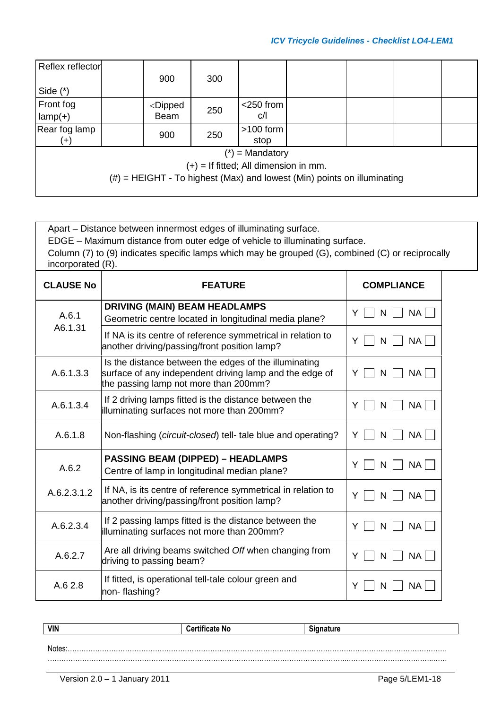| Reflex reflector |                                                                                                    |     |                                         |                                                                            |  |  |
|------------------|----------------------------------------------------------------------------------------------------|-----|-----------------------------------------|----------------------------------------------------------------------------|--|--|
|                  | 900                                                                                                | 300 |                                         |                                                                            |  |  |
| Side $(*)$       |                                                                                                    |     |                                         |                                                                            |  |  |
| Front fog        | <dipped< td=""><td>250</td><td><math>&lt;</math>250 from</td><td></td><td></td><td></td></dipped<> | 250 | $<$ 250 from                            |                                                                            |  |  |
| $lamp(+)$        | <b>Beam</b>                                                                                        |     | C/1                                     |                                                                            |  |  |
| Rear fog lamp    | 900                                                                                                | 250 | $>100$ form                             |                                                                            |  |  |
| $(+)$            |                                                                                                    |     | stop                                    |                                                                            |  |  |
|                  |                                                                                                    |     | $(*)$ = Mandatory                       |                                                                            |  |  |
|                  |                                                                                                    |     | $(+)$ = If fitted; All dimension in mm. |                                                                            |  |  |
|                  |                                                                                                    |     |                                         | $(\#)$ = HEIGHT - To highest (Max) and lowest (Min) points on illuminating |  |  |
|                  |                                                                                                    |     |                                         |                                                                            |  |  |

Apart – Distance between innermost edges of illuminating surface.

EDGE – Maximum distance from outer edge of vehicle to illuminating surface.

Column (7) to (9) indicates specific lamps which may be grouped (G), combined (C) or reciprocally incorporated (R).

| <b>CLAUSE No</b> | <b>FEATURE</b>                                                                                                                                            | <b>COMPLIANCE</b>   |
|------------------|-----------------------------------------------------------------------------------------------------------------------------------------------------------|---------------------|
| A.6.1            | <b>DRIVING (MAIN) BEAM HEADLAMPS</b><br>Geometric centre located in longitudinal media plane?                                                             | NA<br>Y<br>N        |
| A6.1.31          | If NA is its centre of reference symmetrical in relation to<br>another driving/passing/front position lamp?                                               | NA I<br>N           |
| A.6.1.3.3        | Is the distance between the edges of the illuminating<br>surface of any independent driving lamp and the edge of<br>the passing lamp not more than 200mm? | NA<br>N             |
| A.6.1.3.4        | If 2 driving lamps fitted is the distance between the<br>illuminating surfaces not more than 200mm?                                                       | <b>NA</b><br>Υ<br>N |
| A.6.1.8          | Non-flashing (circuit-closed) tell- tale blue and operating?                                                                                              | <b>NA</b><br>N<br>Y |
| A.6.2            | <b>PASSING BEAM (DIPPED) - HEADLAMPS</b><br>Centre of lamp in longitudinal median plane?                                                                  | NA L<br>Y<br>N      |
| A.6.2.3.1.2      | If NA, is its centre of reference symmetrical in relation to<br>another driving/passing/front position lamp?                                              | <b>NA</b><br>N      |
| A.6.2.3.4        | If 2 passing lamps fitted is the distance between the<br>illuminating surfaces not more than 200mm?                                                       | NA L<br>N           |
| A.6.2.7          | Are all driving beams switched Off when changing from<br>driving to passing beam?                                                                         | <b>NA</b><br>N      |
| A.62.8           | If fitted, is operational tell-tale colour green and<br>non-flashing?                                                                                     | Y<br>NA.            |

| <b>VIN</b> | <b>Certificate No</b> | <b>Signature</b> |
|------------|-----------------------|------------------|
|            |                       |                  |
|            |                       |                  |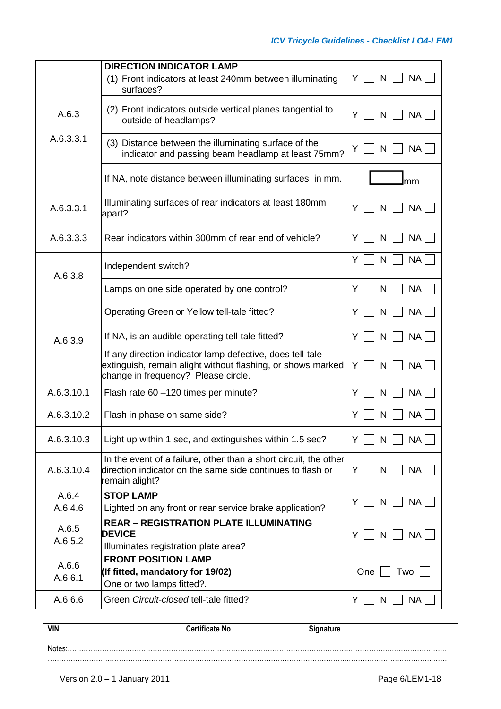|                  | <b>DIRECTION INDICATOR LAMP</b>                                                                                                                                 |                                  |
|------------------|-----------------------------------------------------------------------------------------------------------------------------------------------------------------|----------------------------------|
|                  | (1) Front indicators at least 240mm between illuminating<br>surfaces?                                                                                           | <b>NA</b><br>Y<br>N              |
| A.6.3            | (2) Front indicators outside vertical planes tangential to<br>outside of headlamps?                                                                             | NA<br>Y<br>N                     |
| A.6.3.3.1        | (3) Distance between the illuminating surface of the<br>indicator and passing beam headlamp at least 75mm?                                                      | NA<br>N                          |
|                  | If NA, note distance between illuminating surfaces in mm.                                                                                                       | mm                               |
| A.6.3.3.1        | Illuminating surfaces of rear indicators at least 180mm<br>apart?                                                                                               | <b>NA</b><br>N                   |
| A.6.3.3.3        | Rear indicators within 300mm of rear end of vehicle?                                                                                                            | <b>NA</b><br>N<br>Y              |
| A.6.3.8          | Independent switch?                                                                                                                                             | <b>NA</b><br>N<br>Y              |
|                  | Lamps on one side operated by one control?                                                                                                                      | <b>NA</b><br>N<br>Y              |
|                  | Operating Green or Yellow tell-tale fitted?                                                                                                                     | <b>NA</b><br>Y<br>N              |
| A.6.3.9          | If NA, is an audible operating tell-tale fitted?                                                                                                                | <b>NA</b><br>N<br>Y              |
|                  | If any direction indicator lamp defective, does tell-tale<br>extinguish, remain alight without flashing, or shows marked<br>change in frequency? Please circle. | NA  <br>N<br>Y                   |
| A.6.3.10.1       | Flash rate 60 -120 times per minute?                                                                                                                            | <b>NA</b><br>N<br>Y              |
| A.6.3.10.2       | Flash in phase on same side?                                                                                                                                    | <b>NA</b><br>Y<br>N              |
| A.6.3.10.3       | Light up within 1 sec, and extinguishes within 1.5 sec?                                                                                                         | $\mathsf{N}$<br><b>NA</b><br>YII |
| A.6.3.10.4       | In the event of a failure, other than a short circuit, the other<br>direction indicator on the same side continues to flash or<br>remain alight?                | NA<br>Y    <br>N                 |
| A.6.4            | <b>STOP LAMP</b>                                                                                                                                                | NA<br>N<br>Y                     |
| A.6.4.6          | Lighted on any front or rear service brake application?                                                                                                         |                                  |
| A.6.5<br>A.6.5.2 | <b>REAR - REGISTRATION PLATE ILLUMINATING</b><br><b>DEVICE</b><br>Illuminates registration plate area?                                                          | NA<br>Y<br>N                     |
| A.6.6<br>A.6.6.1 | <b>FRONT POSITION LAMP</b><br>(If fitted, mandatory for 19/02)<br>One or two lamps fitted?.                                                                     | One<br>Two                       |
| A.6.6.6          | Green Circuit-closed tell-tale fitted?                                                                                                                          | N<br><b>NA</b><br>Y.             |

| <b>VIN</b> | <br>.<br>ΝO<br>___ | .<br>. |
|------------|--------------------|--------|
|            |                    |        |
| <b>ALC</b> |                    |        |

Notes:…………………………………………………………………………………………………………………………….………………….. ………………………………………………………………………………………………………………….………………………………..……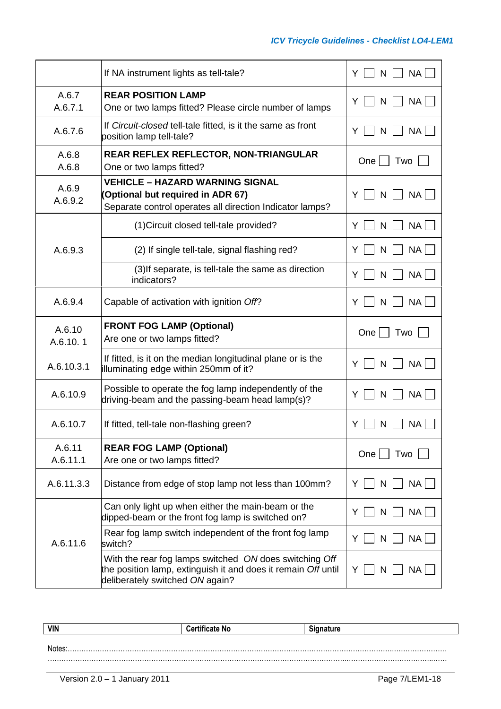|                    | If NA instrument lights as tell-tale?                                                                                                                      | <b>NA</b><br>Y<br>N    |
|--------------------|------------------------------------------------------------------------------------------------------------------------------------------------------------|------------------------|
| A.6.7<br>A.6.7.1   | <b>REAR POSITION LAMP</b><br>One or two lamps fitted? Please circle number of lamps                                                                        | <b>NA</b><br>Y<br>N    |
| A.6.7.6            | If Circuit-closed tell-tale fitted, is it the same as front<br>position lamp tell-tale?                                                                    | <b>NA</b><br>N<br>Y    |
| A.6.8<br>A.6.8     | REAR REFLEX REFLECTOR, NON-TRIANGULAR<br>One or two lamps fitted?                                                                                          | $One \mid$<br>Two      |
| A.6.9<br>A.6.9.2   | <b>VEHICLE - HAZARD WARNING SIGNAL</b><br>(Optional but required in ADR 67)<br>Separate control operates all direction Indicator lamps?                    | <b>NA</b><br>Y<br>N    |
|                    | (1) Circuit closed tell-tale provided?                                                                                                                     | <b>NA</b><br>Y<br>N    |
| A.6.9.3            | (2) If single tell-tale, signal flashing red?                                                                                                              | <b>NA</b><br>Y<br>N    |
|                    | (3) If separate, is tell-tale the same as direction<br>indicators?                                                                                         | <b>NA</b><br>Y<br>N    |
| A.6.9.4            | Capable of activation with ignition Off?                                                                                                                   | <b>NA</b><br>N<br>Y    |
| A.6.10<br>A.6.10.1 | <b>FRONT FOG LAMP (Optional)</b><br>Are one or two lamps fitted?                                                                                           | One<br>Two             |
| A.6.10.3.1         | If fitted, is it on the median longitudinal plane or is the<br>illuminating edge within 250mm of it?                                                       | <b>NA</b><br>Y<br>N    |
| A.6.10.9           | Possible to operate the fog lamp independently of the<br>driving-beam and the passing-beam head lamp(s)?                                                   | <b>NA</b><br>Y<br>N    |
| A.6.10.7           | If fitted, tell-tale non-flashing green?                                                                                                                   | NA                     |
| A.6.11<br>A.6.11.1 | <b>REAR FOG LAMP (Optional)</b><br>Are one or two lamps fitted?                                                                                            | One $  \cdot  $<br>Two |
| A.6.11.3.3         | Distance from edge of stop lamp not less than 100mm?                                                                                                       | <b>NA</b><br>N.<br>Y   |
|                    | Can only light up when either the main-beam or the<br>dipped-beam or the front fog lamp is switched on?                                                    | <b>NA</b><br>Y<br>N    |
| A.6.11.6           | Rear fog lamp switch independent of the front fog lamp<br>switch?                                                                                          | NA<br>Y<br>N           |
|                    | With the rear fog lamps switched ON does switching Off<br>the position lamp, extinguish it and does it remain Off until<br>deliberately switched ON again? | NA.<br>Y<br>N          |

| <b>VIN</b> | <b>Certificate No</b> | <b>Signature</b> |
|------------|-----------------------|------------------|
|            |                       |                  |
|            |                       |                  |
| Notes:     |                       |                  |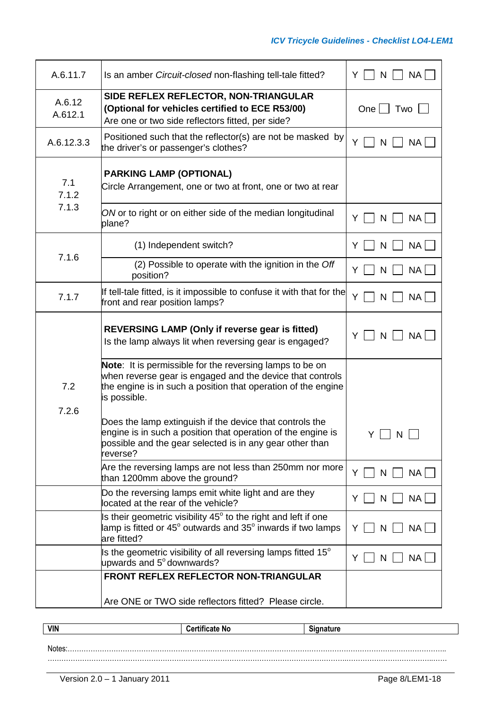| A.6.11.7          | Is an amber Circuit-closed non-flashing tell-tale fitted?                                                                                                                                                   | NA  <br>N<br>Y |
|-------------------|-------------------------------------------------------------------------------------------------------------------------------------------------------------------------------------------------------------|----------------|
| A.6.12<br>A.612.1 | SIDE REFLEX REFLECTOR, NON-TRIANGULAR<br>(Optional for vehicles certified to ECE R53/00)<br>Are one or two side reflectors fitted, per side?                                                                | One<br>Two     |
| A.6.12.3.3        | Positioned such that the reflector(s) are not be masked by<br>the driver's or passenger's clothes?                                                                                                          | Y<br>NA<br>N   |
| 7.1<br>7.1.2      | <b>PARKING LAMP (OPTIONAL)</b><br>Circle Arrangement, one or two at front, one or two at rear                                                                                                               |                |
| 7.1.3             | ON or to right or on either side of the median longitudinal<br>plane?                                                                                                                                       | NA  <br>Y<br>N |
|                   | (1) Independent switch?                                                                                                                                                                                     | NA<br>N<br>Y   |
| 7.1.6             | (2) Possible to operate with the ignition in the Off<br>position?                                                                                                                                           | NA  <br>Y<br>N |
| 7.1.7             | If tell-tale fitted, is it impossible to confuse it with that for the<br>front and rear position lamps?                                                                                                     | Y<br>N<br>NA   |
|                   | <b>REVERSING LAMP (Only if reverse gear is fitted)</b><br>Is the lamp always lit when reversing gear is engaged?                                                                                            | Υ<br>NA  <br>N |
| 7.2<br>7.2.6      | Note: It is permissible for the reversing lamps to be on<br>when reverse gear is engaged and the device that controls<br>the engine is in such a position that operation of the engine<br>is possible.      |                |
|                   | Does the lamp extinguish if the device that controls the<br>$\epsilon$ engine is in such a position that operation of the engine is<br>possible and the gear selected is in any gear other than<br>reverse? | Y.<br>N,       |
|                   | Are the reversing lamps are not less than 250mm nor more<br>than 1200mm above the ground?                                                                                                                   | N<br>NA  <br>Y |
|                   | Do the reversing lamps emit white light and are they<br>located at the rear of the vehicle?                                                                                                                 | NA  <br>N<br>Y |
|                   | Is their geometric visibility 45° to the right and left if one<br>lamp is fitted or 45 $^{\circ}$ outwards and 35 $^{\circ}$ inwards if two lamps<br>are fitted?                                            | NA<br>Y<br>N   |
|                   | Is the geometric visibility of all reversing lamps fitted 15 $^{\circ}$<br>upwards and 5° downwards?                                                                                                        | NA  <br>Y<br>N |
|                   | FRONT REFLEX REFLECTOR NON-TRIANGULAR                                                                                                                                                                       |                |
|                   | Are ONE or TWO side reflectors fitted? Please circle.                                                                                                                                                       |                |

| <b>VIN</b> | <b>Certificate No</b> | $\ddot{\phantom{1}}$<br>™alul c |
|------------|-----------------------|---------------------------------|
|            |                       |                                 |
| Notes:     |                       |                                 |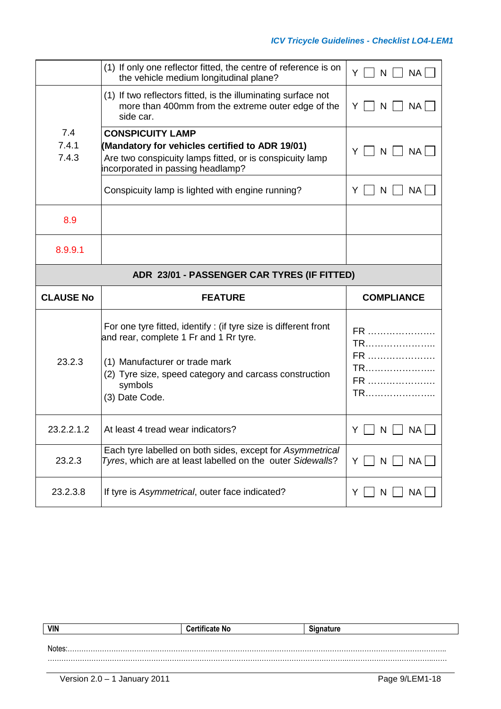|                                             | (1) If only one reflector fitted, the centre of reference is on<br>the vehicle medium longitudinal plane?                                                                                                                          | Y     N<br>NA                    |
|---------------------------------------------|------------------------------------------------------------------------------------------------------------------------------------------------------------------------------------------------------------------------------------|----------------------------------|
|                                             | (1) If two reflectors fitted, is the illuminating surface not<br>more than 400mm from the extreme outer edge of the<br>side car.                                                                                                   | NA  <br>Y<br>N                   |
| 7.4                                         | <b>CONSPICUITY LAMP</b>                                                                                                                                                                                                            |                                  |
| 7.4.1<br>7.4.3                              | (Mandatory for vehicles certified to ADR 19/01)<br>Are two conspicuity lamps fitted, or is conspicuity lamp<br>incorporated in passing headlamp?                                                                                   | NA<br>Y<br>N                     |
|                                             | Conspicuity lamp is lighted with engine running?                                                                                                                                                                                   | NA  <br>N<br>Y                   |
| 8.9                                         |                                                                                                                                                                                                                                    |                                  |
| 8.9.9.1                                     |                                                                                                                                                                                                                                    |                                  |
| ADR 23/01 - PASSENGER CAR TYRES (IF FITTED) |                                                                                                                                                                                                                                    |                                  |
|                                             |                                                                                                                                                                                                                                    |                                  |
| <b>CLAUSE No</b>                            | <b>FEATURE</b>                                                                                                                                                                                                                     | <b>COMPLIANCE</b>                |
| 23.2.3                                      | For one tyre fitted, identify: (if tyre size is different front<br>and rear, complete 1 Fr and 1 Rr tyre.<br>(1) Manufacturer or trade mark<br>(2) Tyre size, speed category and carcass construction<br>symbols<br>(3) Date Code. | FR<br>TR<br>FR<br>TR<br>FR<br>TR |
| 23.2.2.1.2                                  | At least 4 tread wear indicators?                                                                                                                                                                                                  | <b>NA</b><br>Y<br>N              |
| 23.2.3                                      | Each tyre labelled on both sides, except for Asymmetrical<br>Tyres, which are at least labelled on the outer Sidewalls?                                                                                                            | NA<br>Y    <br>N                 |

| <b>VIN</b> | <b>Certificate No</b> | <b>Signature</b> |
|------------|-----------------------|------------------|
|            |                       |                  |
| Notes:     |                       |                  |
|            |                       |                  |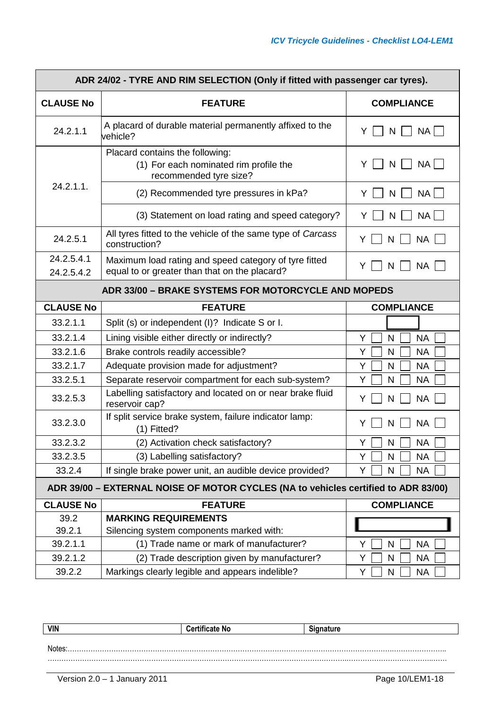| ADR 24/02 - TYRE AND RIM SELECTION (Only if fitted with passenger car tyres).      |                                                                                                        |                                       |
|------------------------------------------------------------------------------------|--------------------------------------------------------------------------------------------------------|---------------------------------------|
| <b>CLAUSE No</b>                                                                   | <b>FEATURE</b>                                                                                         | <b>COMPLIANCE</b>                     |
| 24.2.1.1                                                                           | A placard of durable material permanently affixed to the<br>vehicle?                                   | NA  <br>Y<br>N                        |
|                                                                                    | Placard contains the following:<br>(1) For each nominated rim profile the<br>recommended tyre size?    | <b>NA</b><br>Y<br>N                   |
| $24.2.1.1$ .                                                                       | (2) Recommended tyre pressures in kPa?                                                                 | <b>NA</b><br>Y<br>N                   |
|                                                                                    | (3) Statement on load rating and speed category?                                                       | <b>NA</b><br>Y<br>N                   |
| 24.2.5.1                                                                           | All tyres fitted to the vehicle of the same type of Carcass<br>construction?                           | <b>NA</b><br>Y<br>N                   |
| 24.2.5.4.1<br>24.2.5.4.2                                                           | Maximum load rating and speed category of tyre fitted<br>equal to or greater than that on the placard? | Y<br><b>NA</b><br>N                   |
|                                                                                    | ADR 33/00 - BRAKE SYSTEMS FOR MOTORCYCLE AND MOPEDS                                                    |                                       |
| <b>CLAUSE No</b>                                                                   | <b>FEATURE</b>                                                                                         | <b>COMPLIANCE</b>                     |
| 33.2.1.1                                                                           | Split (s) or independent (I)? Indicate S or I.                                                         |                                       |
|                                                                                    |                                                                                                        |                                       |
| 33.2.1.4<br>33.2.1.6                                                               | Lining visible either directly or indirectly?                                                          | <b>NA</b><br>Y<br>$\mathsf{N}$<br>Y   |
| 33.2.1.7                                                                           | Brake controls readily accessible?                                                                     | N<br><b>NA</b>                        |
| 33.2.5.1                                                                           | Adequate provision made for adjustment?<br>Separate reservoir compartment for each sub-system?         | <b>NA</b><br>Y<br>N<br>Y<br><b>NA</b> |
| 33.2.5.3                                                                           | Labelling satisfactory and located on or near brake fluid<br>reservoir cap?                            | N<br><b>NA</b><br>Y<br>N              |
| 33.2.3.0                                                                           | If split service brake system, failure indicator lamp:<br>$(1)$ Fitted?                                | <b>NA</b><br>Y<br>N                   |
| 33.2.3.2                                                                           | (2) Activation check satisfactory?                                                                     | Y<br>N<br><b>NA</b>                   |
| 33.2.3.5                                                                           | (3) Labelling satisfactory?                                                                            | <b>NA</b><br>Y<br>N                   |
| 33.2.4                                                                             | If single brake power unit, an audible device provided?                                                | <b>NA</b><br>Y<br>N                   |
| ADR 39/00 - EXTERNAL NOISE OF MOTOR CYCLES (NA to vehicles certified to ADR 83/00) |                                                                                                        |                                       |
| <b>CLAUSE No</b>                                                                   | <b>FEATURE</b>                                                                                         | <b>COMPLIANCE</b>                     |
| 39.2                                                                               | <b>MARKING REQUIREMENTS</b>                                                                            |                                       |
| 39.2.1                                                                             | Silencing system components marked with:                                                               |                                       |
| 39.2.1.1                                                                           | (1) Trade name or mark of manufacturer?                                                                | Y<br>N<br><b>NA</b>                   |
| 39.2.1.2                                                                           | (2) Trade description given by manufacturer?                                                           | Y<br>$\mathsf{N}$<br><b>NA</b>        |
| 39.2.2                                                                             | Markings clearly legible and appears indelible?                                                        | Υ<br>N<br><b>NA</b>                   |

| <b>VIN</b> | ∵ NC | . |
|------------|------|---|
|            |      |   |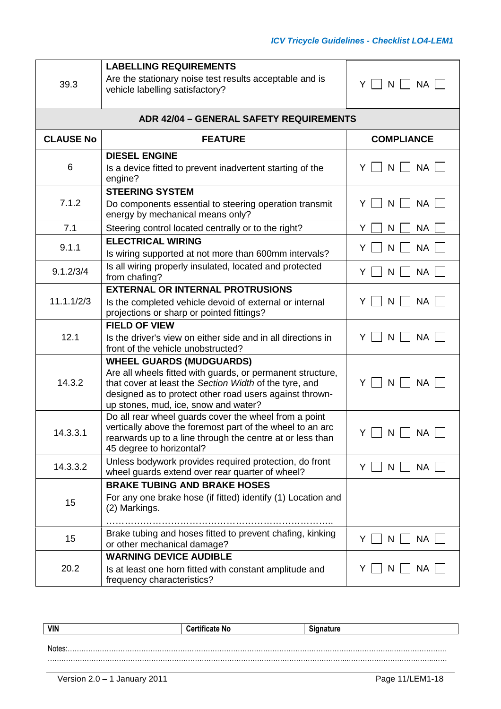| 39.3             | <b>LABELLING REQUIREMENTS</b><br>Are the stationary noise test results acceptable and is<br>vehicle labelling satisfactory?                                                                                                                                | <b>NA</b><br>Y I<br>$N$  |
|------------------|------------------------------------------------------------------------------------------------------------------------------------------------------------------------------------------------------------------------------------------------------------|--------------------------|
|                  | <b>ADR 42/04 - GENERAL SAFETY REQUIREMENTS</b>                                                                                                                                                                                                             |                          |
| <b>CLAUSE No</b> | <b>FEATURE</b>                                                                                                                                                                                                                                             | <b>COMPLIANCE</b>        |
| 6                | <b>DIESEL ENGINE</b><br>Is a device fitted to prevent inadvertent starting of the<br>engine?                                                                                                                                                               | NA<br>N<br>Y             |
| 7.1.2            | <b>STEERING SYSTEM</b><br>Do components essential to steering operation transmit<br>energy by mechanical means only?                                                                                                                                       | <b>NA</b><br>Y<br>N      |
| 7.1              | Steering control located centrally or to the right?                                                                                                                                                                                                        | Y<br><b>NA</b><br>N      |
| 9.1.1            | <b>ELECTRICAL WIRING</b><br>Is wiring supported at not more than 600mm intervals?                                                                                                                                                                          | <b>NA</b><br>Y<br>N      |
| 9.1.2/3/4        | Is all wiring properly insulated, located and protected<br>from chafing?                                                                                                                                                                                   | Y<br><b>NA</b><br>N      |
| 11.1.1/2/3       | <b>EXTERNAL OR INTERNAL PROTRUSIONS</b><br>Is the completed vehicle devoid of external or internal<br>projections or sharp or pointed fittings?                                                                                                            | <b>NA</b><br>Y<br>N      |
| 12.1             | <b>FIELD OF VIEW</b><br>Is the driver's view on either side and in all directions in<br>front of the vehicle unobstructed?                                                                                                                                 | <b>NA</b><br>Y<br>N      |
| 14.3.2           | <b>WHEEL GUARDS (MUDGUARDS)</b><br>Are all wheels fitted with guards, or permanent structure,<br>that cover at least the Section Width of the tyre, and<br>designed as to protect other road users against thrown-<br>up stones, mud, ice, snow and water? | ΥI<br>N<br><b>NA</b>     |
| 14.3.3.1         | Do all rear wheel guards cover the wheel from a point<br>vertically above the foremost part of the wheel to an arc<br>rearwards up to a line through the centre at or less than<br>45 degree to horizontal?                                                | $Y \cup N \cup NA \cup$  |
| 14.3.3.2         | Unless bodywork provides required protection, do front<br>wheel guards extend over rear quarter of wheel?                                                                                                                                                  | <b>NA</b><br>$N$  <br>Y. |
|                  | <b>BRAKE TUBING AND BRAKE HOSES</b>                                                                                                                                                                                                                        |                          |
| 15               | For any one brake hose (if fitted) identify (1) Location and<br>(2) Markings.                                                                                                                                                                              |                          |
| 15               | Brake tubing and hoses fitted to prevent chafing, kinking<br>or other mechanical damage?                                                                                                                                                                   | <b>NA</b><br>Y<br>N      |
| 20.2             | <b>WARNING DEVICE AUDIBLE</b><br>Is at least one horn fitted with constant amplitude and<br>frequency characteristics?                                                                                                                                     | <b>NA</b><br>N<br>Y      |

| <b>VIN</b> | <b>Certificate No</b> | <b>Cianoture</b> |
|------------|-----------------------|------------------|
|            |                       |                  |
| Notes      |                       |                  |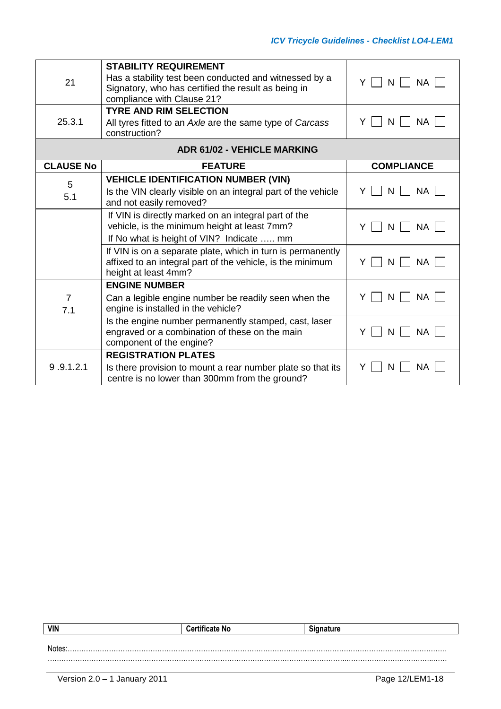| 21               | <b>STABILITY REQUIREMENT</b><br>Has a stability test been conducted and witnessed by a<br>Signatory, who has certified the result as being in<br>compliance with Clause 21? | <b>NA</b><br>Y<br>$N$ |
|------------------|-----------------------------------------------------------------------------------------------------------------------------------------------------------------------------|-----------------------|
| 25.3.1           | <b>TYRE AND RIM SELECTION</b><br>All tyres fitted to an Axle are the same type of Carcass<br>construction?                                                                  | <b>NA</b><br>Y<br>N   |
|                  | <b>ADR 61/02 - VEHICLE MARKING</b>                                                                                                                                          |                       |
| <b>CLAUSE No</b> | <b>FEATURE</b>                                                                                                                                                              | <b>COMPLIANCE</b>     |
| 5<br>5.1         | <b>VEHICLE IDENTIFICATION NUMBER (VIN)</b><br>Is the VIN clearly visible on an integral part of the vehicle<br>and not easily removed?                                      | <b>NA</b><br>N<br>Y   |
|                  | If VIN is directly marked on an integral part of the<br>vehicle, is the minimum height at least 7mm?<br>If No what is height of VIN? Indicate  mm                           | <b>NA</b><br>N<br>Y   |
|                  | If VIN is on a separate plate, which in turn is permanently<br>affixed to an integral part of the vehicle, is the minimum<br>height at least 4mm?                           | <b>NA</b><br>Y<br>N   |
| 7<br>7.1         | <b>ENGINE NUMBER</b><br>Can a legible engine number be readily seen when the<br>engine is installed in the vehicle?                                                         | <b>NA</b><br>N        |
|                  | Is the engine number permanently stamped, cast, laser<br>engraved or a combination of these on the main<br>component of the engine?                                         | N<br><b>NA</b><br>Y   |
| 9.9.1.2.1        | <b>REGISTRATION PLATES</b><br>Is there provision to mount a rear number plate so that its<br>centre is no lower than 300mm from the ground?                                 | Y<br><b>NA</b><br>N   |

| VIN   | <b>Certificate No</b> | anature |
|-------|-----------------------|---------|
|       |                       |         |
| Notes |                       |         |
|       |                       |         |
|       |                       |         |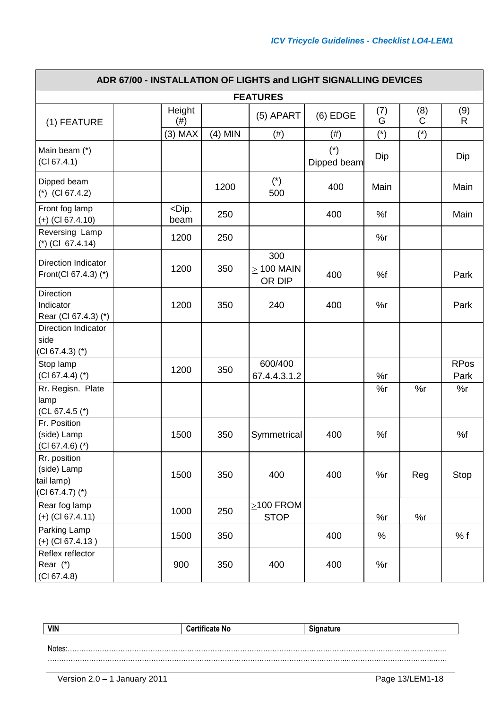| ADR 67/00 - INSTALLATION OF LIGHTS and LIGHT SIGNALLING DEVICES |                  |           |                                  |                      |          |                    |                     |
|-----------------------------------------------------------------|------------------|-----------|----------------------------------|----------------------|----------|--------------------|---------------------|
|                                                                 |                  |           | <b>FEATURES</b>                  |                      |          |                    |                     |
| (1) FEATURE                                                     | Height<br>(# )   |           | (5) APART                        | $(6)$ EDGE           | (7)<br>G | (8)<br>$\mathsf C$ | (9)<br>$\mathsf{R}$ |
|                                                                 | $(3)$ MAX        | $(4)$ MIN | (# )                             | (# )                 | $(*)$    | $(*)$              |                     |
| Main beam (*)<br>(Cl 67.4.1)                                    |                  |           |                                  | $(*)$<br>Dipped beam | Dip      |                    | Dip                 |
| Dipped beam<br>$(*)$ (CI 67.4.2)                                |                  | 1200      | $(*)$<br>500                     | 400                  | Main     |                    | Main                |
| Front fog lamp<br>$(+)$ (CI 67.4.10)                            | $<$ Dip.<br>beam | 250       |                                  | 400                  | %f       |                    | Main                |
| Reversing Lamp<br>$(*)$ (CI 67.4.14)                            | 1200             | 250       |                                  |                      | %r       |                    |                     |
| Direction Indicator<br>Front(Cl 67.4.3) (*)                     | 1200             | 350       | 300<br>$\geq$ 100 MAIN<br>OR DIP | 400                  | %f       |                    | Park                |
| Direction<br>Indicator<br>Rear (CI 67.4.3) (*)                  | 1200             | 350       | 240                              | 400                  | %r       |                    | Park                |
| <b>Direction Indicator</b><br>side<br>$(Cl 67.4.3)$ $(*)$       |                  |           |                                  |                      |          |                    |                     |
| Stop lamp<br>$(CI 67.4.4)$ (*)                                  | 1200             | 350       | 600/400<br>67.4.4.3.1.2          |                      | %r       |                    | <b>RPos</b><br>Park |
| Rr. Regisn. Plate<br>lamp<br>$(CL 67.4.5 (*)$                   |                  |           |                                  |                      | %r       | %r                 | %r                  |
| Fr. Position<br>(side) Lamp<br>$(CI 67.4.6)$ (*)                | 1500             | 350       | Symmetrical                      | 400                  | %f       |                    | %f                  |
| Rr. position<br>(side) Lamp<br>tail lamp)<br>$(CI 67.4.7)$ (*)  | 1500             | 350       | 400                              | 400                  | %r       | Reg                | Stop                |
| Rear fog lamp<br>$(+)$ (Cl 67.4.11)                             | 1000             | 250       | $\geq$ 100 FROM<br><b>STOP</b>   |                      | %r       | %r                 |                     |
| Parking Lamp<br>$(+)$ (CI 67.4.13)                              | 1500             | 350       |                                  | 400                  | $\%$     |                    | % f                 |
| Reflex reflector<br>Rear $(*)$<br>(Cl 67.4.8)                   | 900              | 350       | 400                              | 400                  | %r       |                    |                     |

| <b>VIN</b> | - יי | .<br>. . |
|------------|------|----------|
|            |      |          |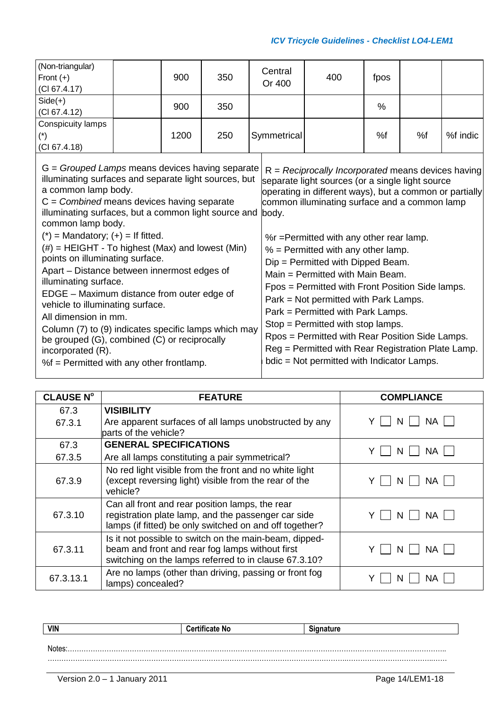#### *ICV Tricycle Guidelines - Checklist LO4-LEM1*

| (Non-triangular)<br>Front $(+)$<br>$ $ (CI 67.4.17) | 900  | 350 | Central<br>Or 400 | 400 | fpos |    |          |
|-----------------------------------------------------|------|-----|-------------------|-----|------|----|----------|
| $Side(+)$<br>$ $ (CI 67.4.12)                       | 900  | 350 |                   |     | %    |    |          |
| Conspicuity lamps<br>$(\star)$<br>$ $ (CI 67.4.18)  | 1200 | 250 | Symmetrical       |     | %f   | %f | %f indic |
|                                                     |      |     |                   |     |      |    |          |

| $G =$ Grouped Lamps means devices having separate<br>illuminating surfaces and separate light sources, but<br>a common lamp body.<br>$C = Combined$ means devices having separate<br>illuminating surfaces, but a common light source and body.<br>common lamp body.                                                                                                                                                                                                                         | $R = Reciprocally Incorporated means devices having$<br>separate light sources (or a single light source<br>operating in different ways), but a common or partially<br>common illuminating surface and a common lamp                                                                                                                                                                                                                                                                        |
|----------------------------------------------------------------------------------------------------------------------------------------------------------------------------------------------------------------------------------------------------------------------------------------------------------------------------------------------------------------------------------------------------------------------------------------------------------------------------------------------|---------------------------------------------------------------------------------------------------------------------------------------------------------------------------------------------------------------------------------------------------------------------------------------------------------------------------------------------------------------------------------------------------------------------------------------------------------------------------------------------|
| $(*)$ = Mandatory; $(+)$ = If fitted.<br>$(\#)$ = HEIGHT - To highest (Max) and lowest (Min)<br>points on illuminating surface.<br>Apart – Distance between innermost edges of<br>illuminating surface.<br>EDGE - Maximum distance from outer edge of<br>vehicle to illuminating surface.<br>All dimension in mm.<br>Column (7) to (9) indicates specific lamps which may<br>be grouped (G), combined (C) or reciprocally<br>incorporated (R).<br>$%f$ = Permitted with any other frontlamp. | %r = Permitted with any other rear lamp.<br>$%$ = Permitted with any other lamp.<br>$Dip = Permitted$ with Dipped Beam.<br>$Main = Permitted with Main Bean.$<br>Fpos = Permitted with Front Position Side lamps.<br>Park = Not permitted with Park Lamps.<br>Park = Permitted with Park Lamps.<br>Stop = Permitted with stop lamps.<br>Rpos = Permitted with Rear Position Side Lamps.<br>Reg = Permitted with Rear Registration Plate Lamp.<br>bdic = Not permitted with Indicator Lamps. |

| <b>CLAUSE N°</b> | <b>FEATURE</b>                                                                                                                                                     | <b>COMPLIANCE</b> |
|------------------|--------------------------------------------------------------------------------------------------------------------------------------------------------------------|-------------------|
| 67.3             | <b>VISIBILITY</b>                                                                                                                                                  |                   |
| 67.3.1           | Are apparent surfaces of all lamps unobstructed by any<br>parts of the vehicle?                                                                                    | NА<br>N           |
| 67.3             | <b>GENERAL SPECIFICATIONS</b>                                                                                                                                      |                   |
| 67.3.5           | Are all lamps constituting a pair symmetrical?                                                                                                                     | NА                |
| 67.3.9           | No red light visible from the front and no white light<br>(except reversing light) visible from the rear of the<br>vehicle?                                        | NA<br>N           |
| 67.3.10          | Can all front and rear position lamps, the rear<br>registration plate lamp, and the passenger car side<br>lamps (if fitted) be only switched on and off together?  | NА<br>N           |
| 67.3.11          | Is it not possible to switch on the main-beam, dipped-<br>beam and front and rear fog lamps without first<br>switching on the lamps referred to in clause 67.3.10? | NA<br>N           |
| 67.3.13.1        | Are no lamps (other than driving, passing or front fog<br>lamps) concealed?                                                                                        | ΝA                |

| VIN | ---<br><br>NO. |  |
|-----|----------------|--|
|     |                |  |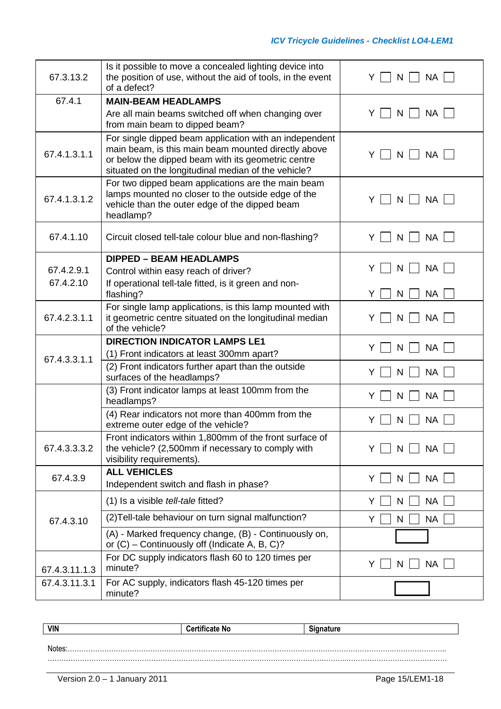| 67.3.13.2     | Is it possible to move a concealed lighting device into<br>the position of use, without the aid of tools, in the event<br>of a defect?                                                                                     | Y<br>N<br><b>NA</b>           |
|---------------|----------------------------------------------------------------------------------------------------------------------------------------------------------------------------------------------------------------------------|-------------------------------|
| 67.4.1        | <b>MAIN-BEAM HEADLAMPS</b>                                                                                                                                                                                                 |                               |
|               | Are all main beams switched off when changing over<br>from main beam to dipped beam?                                                                                                                                       | <b>NA</b><br>Y<br>N           |
| 67.4.1.3.1.1  | For single dipped beam application with an independent<br>main beam, is this main beam mounted directly above<br>or below the dipped beam with its geometric centre<br>situated on the longitudinal median of the vehicle? | <b>NA</b><br>Y<br>N.          |
| 67.4.1.3.1.2  | For two dipped beam applications are the main beam<br>lamps mounted no closer to the outside edge of the<br>vehicle than the outer edge of the dipped beam<br>headlamp?                                                    | Y<br>N<br><b>NA</b><br>$\sim$ |
| 67.4.1.10     | Circuit closed tell-tale colour blue and non-flashing?                                                                                                                                                                     | <b>NA</b><br>Y<br>N           |
|               | <b>DIPPED - BEAM HEADLAMPS</b>                                                                                                                                                                                             |                               |
| 67.4.2.9.1    | Control within easy reach of driver?                                                                                                                                                                                       | <b>NA</b><br>Y<br>N           |
| 67.4.2.10     | If operational tell-tale fitted, is it green and non-<br>flashing?                                                                                                                                                         | <b>NA</b><br>Y<br>N           |
| 67.4.2.3.1.1  | For single lamp applications, is this lamp mounted with<br>it geometric centre situated on the longitudinal median<br>of the vehicle?                                                                                      | <b>NA</b><br>Y<br>N           |
|               | <b>DIRECTION INDICATOR LAMPS LE1</b>                                                                                                                                                                                       | <b>NA</b><br>Y<br>N           |
| 67.4.3.3.1.1  | (1) Front indicators at least 300mm apart?                                                                                                                                                                                 |                               |
|               | (2) Front indicators further apart than the outside<br>surfaces of the headlamps?                                                                                                                                          | <b>NA</b><br>Y<br>N           |
|               | (3) Front indicator lamps at least 100mm from the<br>headlamps?                                                                                                                                                            | <b>NA</b><br>Y<br>N           |
|               | (4) Rear indicators not more than 400mm from the<br>extreme outer edge of the vehicle?                                                                                                                                     | <b>NA</b><br>Y<br>N           |
| 67.4.3.3.3.2  | Front indicators within 1,800mm of the front surface of<br>the vehicle? (2,500mm if necessary to comply with<br>visibility requirements).                                                                                  | <b>NA</b><br>Y<br>N           |
| 67.4.3.9      | <b>ALL VEHICLES</b>                                                                                                                                                                                                        | <b>NA</b><br>Y<br>N           |
|               | Independent switch and flash in phase?                                                                                                                                                                                     |                               |
|               | (1) Is a visible tell-tale fitted?                                                                                                                                                                                         | <b>NA</b><br>Y<br>N           |
| 67.4.3.10     | (2) Tell-tale behaviour on turn signal malfunction?                                                                                                                                                                        | <b>NA</b><br>Y<br>N           |
|               | (A) - Marked frequency change, (B) - Continuously on,<br>or $(C)$ – Continuously off (Indicate A, B, C)?                                                                                                                   |                               |
| 67.4.3.11.1.3 | For DC supply indicators flash 60 to 120 times per<br>minute?                                                                                                                                                              | <b>NA</b><br>Y<br>N           |
| 67.4.3.11.3.1 | For AC supply, indicators flash 45-120 times per<br>minute?                                                                                                                                                                |                               |

| <b>VIN</b> | <br>. .<br>l'artit<br>∙ate No | ∵anature |  |
|------------|-------------------------------|----------|--|
|            |                               |          |  |
| Notos:     |                               |          |  |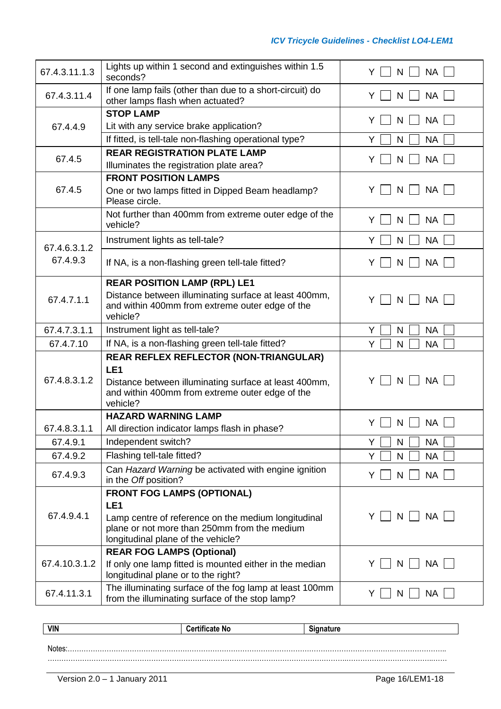| 67.4.3.11.1.3            | Lights up within 1 second and extinguishes within 1.5<br>seconds?                                                                                                                                 | <b>NA</b><br>Y<br>N    |
|--------------------------|---------------------------------------------------------------------------------------------------------------------------------------------------------------------------------------------------|------------------------|
| 67.4.3.11.4              | If one lamp fails (other than due to a short-circuit) do<br>other lamps flash when actuated?                                                                                                      | <b>NA</b><br>N         |
|                          | <b>STOP LAMP</b>                                                                                                                                                                                  | <b>NA</b><br>Y<br>N    |
| 67.4.4.9                 | Lit with any service brake application?                                                                                                                                                           |                        |
|                          | If fitted, is tell-tale non-flashing operational type?                                                                                                                                            | N<br><b>NA</b><br>Y    |
| 67.4.5                   | <b>REAR REGISTRATION PLATE LAMP</b><br>Illuminates the registration plate area?                                                                                                                   | <b>NA</b><br>Y<br>N    |
|                          | <b>FRONT POSITION LAMPS</b>                                                                                                                                                                       |                        |
| 67.4.5                   | One or two lamps fitted in Dipped Beam headlamp?<br>Please circle.                                                                                                                                | <b>NA</b><br>N<br>Y    |
|                          | Not further than 400mm from extreme outer edge of the<br>vehicle?                                                                                                                                 | <b>NA</b><br>Y<br>N    |
|                          | Instrument lights as tell-tale?                                                                                                                                                                   | <b>NA</b><br>Y<br>N    |
| 67.4.6.3.1.2<br>67.4.9.3 | If NA, is a non-flashing green tell-tale fitted?                                                                                                                                                  | <b>NA</b><br>N<br>Y    |
|                          | <b>REAR POSITION LAMP (RPL) LE1</b>                                                                                                                                                               |                        |
| 67.4.7.1.1               | Distance between illuminating surface at least 400mm,<br>and within 400mm from extreme outer edge of the<br>vehicle?                                                                              | <b>NA</b><br>Y<br>N    |
| 67.4.7.3.1.1             | Instrument light as tell-tale?                                                                                                                                                                    | Y<br><b>NA</b><br>N    |
| 67.4.7.10                | If NA, is a non-flashing green tell-tale fitted?                                                                                                                                                  | Y<br><b>NA</b><br>N    |
| 67.4.8.3.1.2             | <b>REAR REFLEX REFLECTOR (NON-TRIANGULAR)</b><br>LE <sub>1</sub><br>Distance between illuminating surface at least 400mm,<br>and within 400mm from extreme outer edge of the<br>vehicle?          | <b>NA</b><br>Y<br>N    |
|                          | <b>HAZARD WARNING LAMP</b>                                                                                                                                                                        |                        |
| 67.4.8.3.1.1             | All direction indicator lamps flash in phase?                                                                                                                                                     | NA<br>Y<br>N           |
| 67.4.9.1                 | Independent switch?                                                                                                                                                                               | Υ<br>N<br><b>NA</b>    |
| 67.4.9.2                 | Flashing tell-tale fitted?                                                                                                                                                                        | Y<br><b>NA</b><br>N    |
| 67.4.9.3                 | Can Hazard Warning be activated with engine ignition<br>in the Off position?                                                                                                                      | <b>NA</b><br>N<br>Y    |
| 67.4.9.4.1               | <b>FRONT FOG LAMPS (OPTIONAL)</b><br>LE <sub>1</sub><br>Lamp centre of reference on the medium longitudinal<br>plane or not more than 250mm from the medium<br>longitudinal plane of the vehicle? | NA  <br>ΥI<br>$N \mid$ |
| 67.4.10.3.1.2            | <b>REAR FOG LAMPS (Optional)</b><br>If only one lamp fitted is mounted either in the median                                                                                                       | <b>NA</b><br>Y<br>N    |
|                          | longitudinal plane or to the right?                                                                                                                                                               |                        |
| 67.4.11.3.1              | The illuminating surface of the fog lamp at least 100mm<br>from the illuminating surface of the stop lamp?                                                                                        | <b>NA</b><br>Y.<br>N   |

| <b>VIN</b> | <b>Certificate No</b> | <b>Signature</b> |
|------------|-----------------------|------------------|
|            |                       |                  |
| Notes      |                       |                  |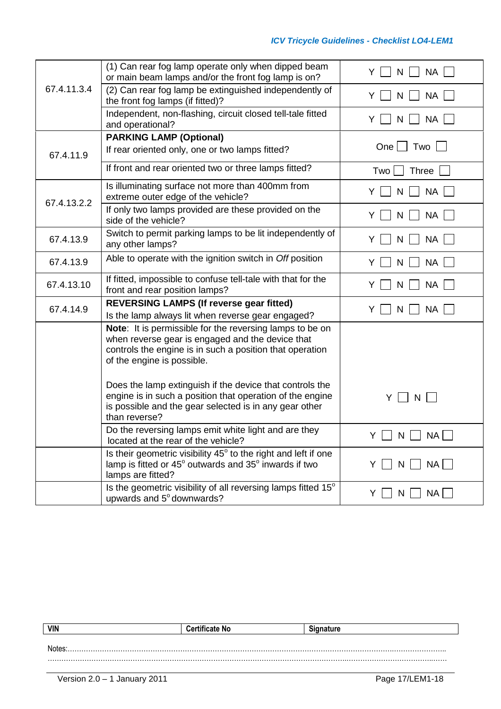|             | (1) Can rear fog lamp operate only when dipped beam<br>or main beam lamps and/or the front fog lamp is on?                                                                                             | Y<br><b>NA</b>                     |
|-------------|--------------------------------------------------------------------------------------------------------------------------------------------------------------------------------------------------------|------------------------------------|
| 67.4.11.3.4 | (2) Can rear fog lamp be extinguished independently of<br>the front fog lamps (if fitted)?                                                                                                             | <b>NA</b><br>Y<br>N                |
|             | Independent, non-flashing, circuit closed tell-tale fitted<br>and operational?                                                                                                                         | <b>NA</b><br>Y<br>N                |
|             | <b>PARKING LAMP (Optional)</b>                                                                                                                                                                         |                                    |
| 67.4.11.9   | If rear oriented only, one or two lamps fitted?                                                                                                                                                        | $One$    <br>Two                   |
|             | If front and rear oriented two or three lamps fitted?                                                                                                                                                  | <b>Three</b><br>Two                |
| 67.4.13.2.2 | Is illuminating surface not more than 400mm from<br>extreme outer edge of the vehicle?                                                                                                                 | <b>NA</b><br>Y                     |
|             | If only two lamps provided are these provided on the<br>side of the vehicle?                                                                                                                           | <b>NA</b><br>Y<br>N                |
| 67.4.13.9   | Switch to permit parking lamps to be lit independently of<br>any other lamps?                                                                                                                          | <b>NA</b><br>Y<br>N                |
| 67.4.13.9   | Able to operate with the ignition switch in Off position                                                                                                                                               | <b>NA</b><br>Y<br>N                |
| 67.4.13.10  | If fitted, impossible to confuse tell-tale with that for the<br>front and rear position lamps?                                                                                                         | Y<br><b>NA</b><br>N                |
| 67.4.14.9   | <b>REVERSING LAMPS (If reverse gear fitted)</b>                                                                                                                                                        | <b>NA</b><br>Y                     |
|             | Is the lamp always lit when reverse gear engaged?                                                                                                                                                      | N                                  |
|             | Note: It is permissible for the reversing lamps to be on<br>when reverse gear is engaged and the device that<br>controls the engine is in such a position that operation<br>of the engine is possible. |                                    |
|             | Does the lamp extinguish if the device that controls the<br>engine is in such a position that operation of the engine<br>is possible and the gear selected is in any gear other<br>than reverse?       | Y.<br>$\mathsf{N}$<br>$\mathbf{1}$ |
|             | Do the reversing lamps emit white light and are they<br>located at the rear of the vehicle?                                                                                                            | $Y \cup N \cup NA$                 |
|             | Is their geometric visibility $45^\circ$ to the right and left if one<br>lamp is fitted or 45° outwards and 35° inwards if two<br>lamps are fitted?                                                    | $N$     $NA$    <br>YII            |
|             | Is the geometric visibility of all reversing lamps fitted 15°<br>upwards and 5° downwards?                                                                                                             | $N \cup NA$<br>Y                   |

| <b>VIN</b> | <b>Certificate No</b> | <b>Signature</b> |  |  |
|------------|-----------------------|------------------|--|--|
|            |                       |                  |  |  |
| Notes      |                       |                  |  |  |
|            |                       |                  |  |  |